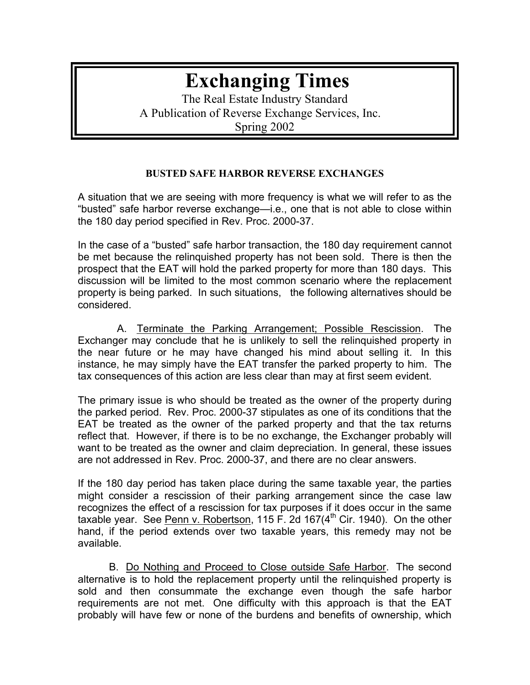## **Exchanging Times**

The Real Estate Industry Standard A Publication of Reverse Exchange Services, Inc. Spring 2002

## **BUSTED SAFE HARBOR REVERSE EXCHANGES**

A situation that we are seeing with more frequency is what we will refer to as the "busted" safe harbor reverse exchange—i.e., one that is not able to close within the 180 day period specified in Rev. Proc. 2000-37.

In the case of a "busted" safe harbor transaction, the 180 day requirement cannot be met because the relinquished property has not been sold. There is then the prospect that the EAT will hold the parked property for more than 180 days. This discussion will be limited to the most common scenario where the replacement property is being parked. In such situations, the following alternatives should be considered.

 A. Terminate the Parking Arrangement; Possible Rescission. The Exchanger may conclude that he is unlikely to sell the relinquished property in the near future or he may have changed his mind about selling it. In this instance, he may simply have the EAT transfer the parked property to him. The tax consequences of this action are less clear than may at first seem evident.

The primary issue is who should be treated as the owner of the property during the parked period. Rev. Proc. 2000-37 stipulates as one of its conditions that the EAT be treated as the owner of the parked property and that the tax returns reflect that. However, if there is to be no exchange, the Exchanger probably will want to be treated as the owner and claim depreciation. In general, these issues are not addressed in Rev. Proc. 2000-37, and there are no clear answers.

If the 180 day period has taken place during the same taxable year, the parties might consider a rescission of their parking arrangement since the case law recognizes the effect of a rescission for tax purposes if it does occur in the same taxable year. See Penn v. Robertson, 115 F. 2d 167 $(4<sup>th</sup>$  Cir. 1940). On the other hand, if the period extends over two taxable years, this remedy may not be available.

B. Do Nothing and Proceed to Close outside Safe Harbor. The second alternative is to hold the replacement property until the relinquished property is sold and then consummate the exchange even though the safe harbor requirements are not met. One difficulty with this approach is that the EAT probably will have few or none of the burdens and benefits of ownership, which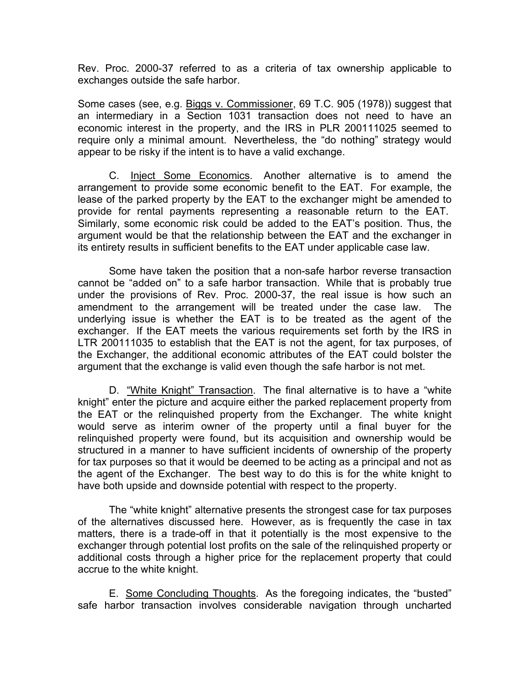Rev. Proc. 2000-37 referred to as a criteria of tax ownership applicable to exchanges outside the safe harbor.

Some cases (see, e.g. Biggs v. Commissioner, 69 T.C. 905 (1978)) suggest that an intermediary in a Section 1031 transaction does not need to have an economic interest in the property, and the IRS in PLR 200111025 seemed to require only a minimal amount. Nevertheless, the "do nothing" strategy would appear to be risky if the intent is to have a valid exchange.

C. Inject Some Economics. Another alternative is to amend the arrangement to provide some economic benefit to the EAT. For example, the lease of the parked property by the EAT to the exchanger might be amended to provide for rental payments representing a reasonable return to the EAT. Similarly, some economic risk could be added to the EAT's position. Thus, the argument would be that the relationship between the EAT and the exchanger in its entirety results in sufficient benefits to the EAT under applicable case law.

Some have taken the position that a non-safe harbor reverse transaction cannot be "added on" to a safe harbor transaction. While that is probably true under the provisions of Rev. Proc. 2000-37, the real issue is how such an amendment to the arrangement will be treated under the case law. The underlying issue is whether the EAT is to be treated as the agent of the exchanger. If the EAT meets the various requirements set forth by the IRS in LTR 200111035 to establish that the EAT is not the agent, for tax purposes, of the Exchanger, the additional economic attributes of the EAT could bolster the argument that the exchange is valid even though the safe harbor is not met.

D. "White Knight" Transaction. The final alternative is to have a "white knight" enter the picture and acquire either the parked replacement property from the EAT or the relinquished property from the Exchanger. The white knight would serve as interim owner of the property until a final buyer for the relinquished property were found, but its acquisition and ownership would be structured in a manner to have sufficient incidents of ownership of the property for tax purposes so that it would be deemed to be acting as a principal and not as the agent of the Exchanger. The best way to do this is for the white knight to have both upside and downside potential with respect to the property.

The "white knight" alternative presents the strongest case for tax purposes of the alternatives discussed here. However, as is frequently the case in tax matters, there is a trade-off in that it potentially is the most expensive to the exchanger through potential lost profits on the sale of the relinquished property or additional costs through a higher price for the replacement property that could accrue to the white knight.

E. Some Concluding Thoughts. As the foregoing indicates, the "busted" safe harbor transaction involves considerable navigation through uncharted